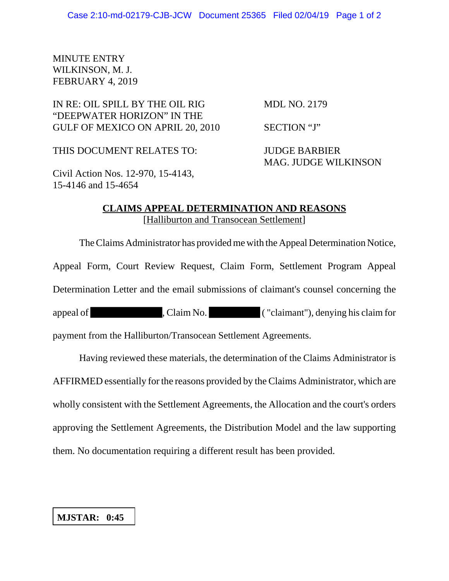## MINUTE ENTRY WILKINSON, M. J. FEBRUARY 4, 2019

## IN RE: OIL SPILL BY THE OIL RIG MDL NO. 2179 "DEEPWATER HORIZON" IN THE GULF OF MEXICO ON APRIL 20, 2010 SECTION "J"

THIS DOCUMENT RELATES TO: JUDGE BARBIER

MAG. JUDGE WILKINSON

Civil Action Nos. 12-970, 15-4143, 15-4146 and 15-4654

## **CLAIMS APPEAL DETERMINATION AND REASONS** [Halliburton and Transocean Settlement]

The Claims Administrator has provided me with the Appeal Determination Notice,

Appeal Form, Court Review Request, Claim Form, Settlement Program Appeal

Determination Letter and the email submissions of claimant's counsel concerning the

appeal of , Claim No. ( "claimant"), denying his claim for

payment from the Halliburton/Transocean Settlement Agreements.

Having reviewed these materials, the determination of the Claims Administrator is AFFIRMED essentially for the reasons provided by the Claims Administrator, which are wholly consistent with the Settlement Agreements, the Allocation and the court's orders approving the Settlement Agreements, the Distribution Model and the law supporting them. No documentation requiring a different result has been provided.

## **MJSTAR: 0:45**